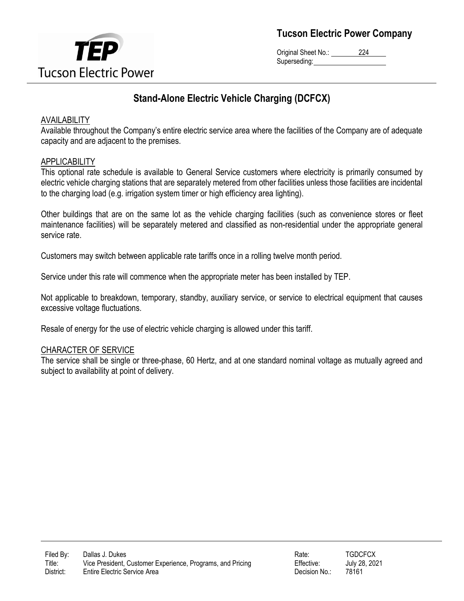

Original Sheet No.: 224 Superseding:

# **Stand-Alone Electric Vehicle Charging (DCFCX)**

### AVAILABILITY

Available throughout the Company's entire electric service area where the facilities of the Company are of adequate capacity and are adjacent to the premises.

### APPLICABILITY

This optional rate schedule is available to General Service customers where electricity is primarily consumed by electric vehicle charging stations that are separately metered from other facilities unless those facilities are incidental to the charging load (e.g. irrigation system timer or high efficiency area lighting).

Other buildings that are on the same lot as the vehicle charging facilities (such as convenience stores or fleet maintenance facilities) will be separately metered and classified as non-residential under the appropriate general service rate.

Customers may switch between applicable rate tariffs once in a rolling twelve month period.

Service under this rate will commence when the appropriate meter has been installed by TEP.

Not applicable to breakdown, temporary, standby, auxiliary service, or service to electrical equipment that causes excessive voltage fluctuations.

Resale of energy for the use of electric vehicle charging is allowed under this tariff.

### CHARACTER OF SERVICE

The service shall be single or three-phase, 60 Hertz, and at one standard nominal voltage as mutually agreed and subject to availability at point of delivery.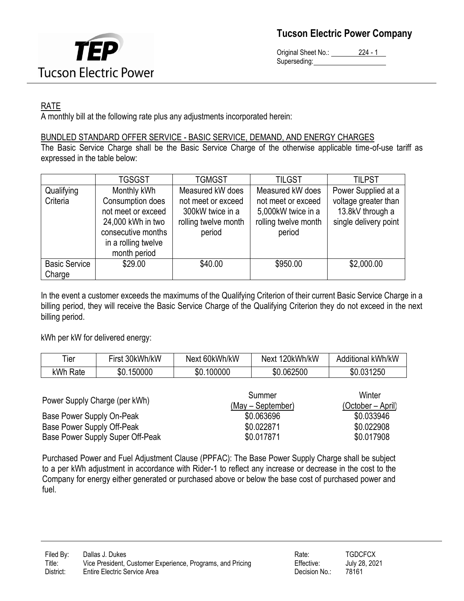

Original Sheet No.: 224 - 1 Superseding:

## RATE

A monthly bill at the following rate plus any adjustments incorporated herein:

### BUNDLED STANDARD OFFER SERVICE - BASIC SERVICE, DEMAND, AND ENERGY CHARGES

The Basic Service Charge shall be the Basic Service Charge of the otherwise applicable time-of-use tariff as expressed in the table below:

|                      | <b>TGSGST</b>       | <b>TGMGST</b>        | <b>TILGST</b>        | <b>TILPST</b>         |
|----------------------|---------------------|----------------------|----------------------|-----------------------|
| Qualifying           | Monthly kWh         | Measured kW does     | Measured kW does     | Power Supplied at a   |
| Criteria             | Consumption does    | not meet or exceed   | not meet or exceed   | voltage greater than  |
|                      | not meet or exceed  | 300kW twice in a     | 5,000kW twice in a   | 13.8kV through a      |
|                      | 24,000 kWh in two   | rolling twelve month | rolling twelve month | single delivery point |
|                      | consecutive months  | period               | period               |                       |
|                      | in a rolling twelve |                      |                      |                       |
|                      | month period        |                      |                      |                       |
| <b>Basic Service</b> | \$29.00             | \$40.00              | \$950.00             | \$2,000.00            |
| Charge               |                     |                      |                      |                       |

In the event a customer exceeds the maximums of the Qualifying Criterion of their current Basic Service Charge in a billing period, they will receive the Basic Service Charge of the Qualifying Criterion they do not exceed in the next billing period.

kWh per kW for delivered energy:

| Tier                 | First 30kWh/kW | Next 60kWh/kW | Next 120kWh/kW | Additional kWh/kW |
|----------------------|----------------|---------------|----------------|-------------------|
| <sub>κ</sub> Wh Rate | \$0.150000     | \$0.100000    | \$0.062500     | \$0.031250        |

| Power Supply Charge (per kWh)    | Summer<br>(May – September) | Winter<br>(October – April) |  |
|----------------------------------|-----------------------------|-----------------------------|--|
| Base Power Supply On-Peak        | \$0.063696                  | \$0.033946                  |  |
| Base Power Supply Off-Peak       | \$0.022871                  | \$0.022908                  |  |
| Base Power Supply Super Off-Peak | \$0.017871                  | \$0.017908                  |  |

Purchased Power and Fuel Adjustment Clause (PPFAC): The Base Power Supply Charge shall be subject to a per kWh adjustment in accordance with Rider-1 to reflect any increase or decrease in the cost to the Company for energy either generated or purchased above or below the base cost of purchased power and fuel.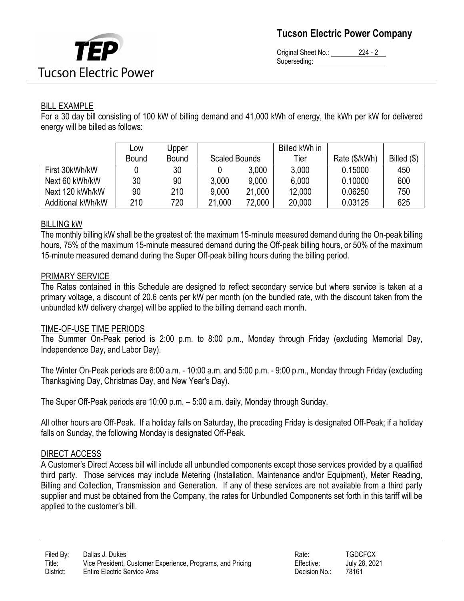

Original Sheet No.: 224 - 2 Superseding:

### BILL EXAMPLE

For a 30 day bill consisting of 100 kW of billing demand and 41,000 kWh of energy, the kWh per kW for delivered energy will be billed as follows:

|                   | Low          | Upper        |               |        | Billed kWh in |               |               |
|-------------------|--------------|--------------|---------------|--------|---------------|---------------|---------------|
|                   | <b>Bound</b> | <b>Bound</b> | Scaled Bounds |        | Tier          | Rate (\$/kWh) | Billed $(\$)$ |
| First 30kWh/kW    |              | 30           |               | 3,000  | 3,000         | 0.15000       | 450           |
| Next 60 kWh/kW    | 30           | 90           | 3,000         | 9,000  | 6,000         | 0.10000       | 600           |
| Next 120 kWh/kW   | 90           | 210          | 9,000         | 21,000 | 12,000        | 0.06250       | 750           |
| Additional kWh/kW | 210          | 720          | 21,000        | 72,000 | 20,000        | 0.03125       | 625           |

### BILLING kW

The monthly billing kW shall be the greatest of: the maximum 15-minute measured demand during the On-peak billing hours, 75% of the maximum 15-minute measured demand during the Off-peak billing hours, or 50% of the maximum 15-minute measured demand during the Super Off-peak billing hours during the billing period.

### PRIMARY SERVICE

The Rates contained in this Schedule are designed to reflect secondary service but where service is taken at a primary voltage, a discount of 20.6 cents per kW per month (on the bundled rate, with the discount taken from the unbundled kW delivery charge) will be applied to the billing demand each month.

### TIME-OF-USE TIME PERIODS

The Summer On-Peak period is 2:00 p.m. to 8:00 p.m., Monday through Friday (excluding Memorial Day, Independence Day, and Labor Day).

The Winter On-Peak periods are 6:00 a.m. - 10:00 a.m. and 5:00 p.m. - 9:00 p.m., Monday through Friday (excluding Thanksgiving Day, Christmas Day, and New Year's Day).

The Super Off-Peak periods are 10:00 p.m. – 5:00 a.m. daily, Monday through Sunday.

All other hours are Off-Peak. If a holiday falls on Saturday, the preceding Friday is designated Off-Peak; if a holiday falls on Sunday, the following Monday is designated Off-Peak.

### DIRECT ACCESS

A Customer's Direct Access bill will include all unbundled components except those services provided by a qualified third party. Those services may include Metering (Installation, Maintenance and/or Equipment), Meter Reading, Billing and Collection, Transmission and Generation. If any of these services are not available from a third party supplier and must be obtained from the Company, the rates for Unbundled Components set forth in this tariff will be applied to the customer's bill.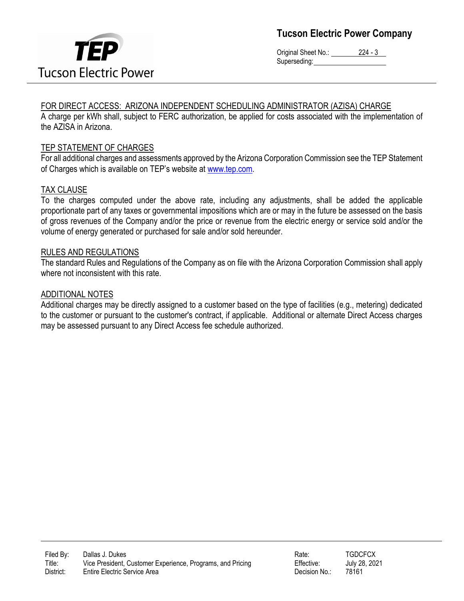

Original Sheet No.: 224 - 3 Superseding:

### FOR DIRECT ACCESS: ARIZONA INDEPENDENT SCHEDULING ADMINISTRATOR (AZISA) CHARGE

A charge per kWh shall, subject to FERC authorization, be applied for costs associated with the implementation of the AZISA in Arizona.

### TEP STATEMENT OF CHARGES

For all additional charges and assessments approved by the Arizona Corporation Commission see the TEP Statement of Charges which is available on TEP's website at [www.tep.com.](file://///tuslpna01/corpdata/RATES/Electric%20Vehicle/2020%20TEP%20Commercial%20EV%20Rates/ACC%20Filings/DRAFT%20TARIFFS/www.tep.com)

### TAX CLAUSE

To the charges computed under the above rate, including any adjustments, shall be added the applicable proportionate part of any taxes or governmental impositions which are or may in the future be assessed on the basis of gross revenues of the Company and/or the price or revenue from the electric energy or service sold and/or the volume of energy generated or purchased for sale and/or sold hereunder.

#### RULES AND REGULATIONS

The standard Rules and Regulations of the Company as on file with the Arizona Corporation Commission shall apply where not inconsistent with this rate.

#### ADDITIONAL NOTES

Additional charges may be directly assigned to a customer based on the type of facilities (e.g., metering) dedicated to the customer or pursuant to the customer's contract, if applicable. Additional or alternate Direct Access charges may be assessed pursuant to any Direct Access fee schedule authorized.